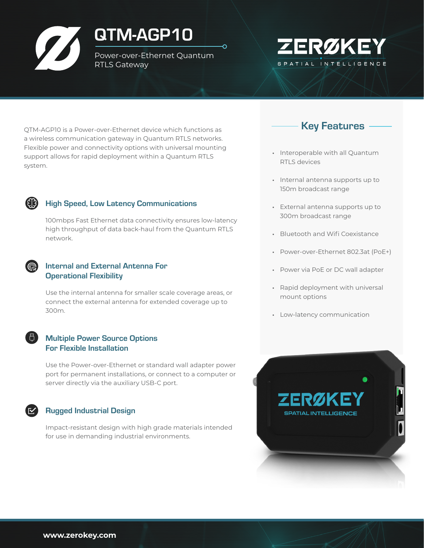# QTM-AGP10

Power-over-Ethernet Quantum RTLS Gateway

 $\Omega$ 



QTM-AGP10 is a Power-over-Ethernet device which functions as a wireless communication gateway in Quantum RTLS networks. Flexible power and connectivity options with universal mounting support allows for rapid deployment within a Quantum RTLS system.

#### High Speed, Low Latency Communications

100mbps Fast Ethernet data connectivity ensures low-latency high throughput of data back-haul from the Quantum RTLS network.

#### Internal and External Antenna For Operational Flexibility

Use the internal antenna for smaller scale coverage areas, or connect the external antenna for extended coverage up to 300m.

#### Multiple Power Source Options For Flexible Installation

Use the Power-over-Ethernet or standard wall adapter power port for permanent installations, or connect to a computer or server directly via the auxiliary USB-C port.

#### Rugged Industrial Design

Impact-resistant design with high grade materials intended for use in demanding industrial environments.



- Interoperable with all Quantum RTLS devices
- Internal antenna supports up to 150m broadcast range
- External antenna supports up to 300m broadcast range
- Bluetooth and Wifi Coexistance
- Power-over-Ethernet 802.3at (PoE+)
- Power via PoE or DC wall adapter
- Rapid deployment with universal mount options
- Low-latency communication